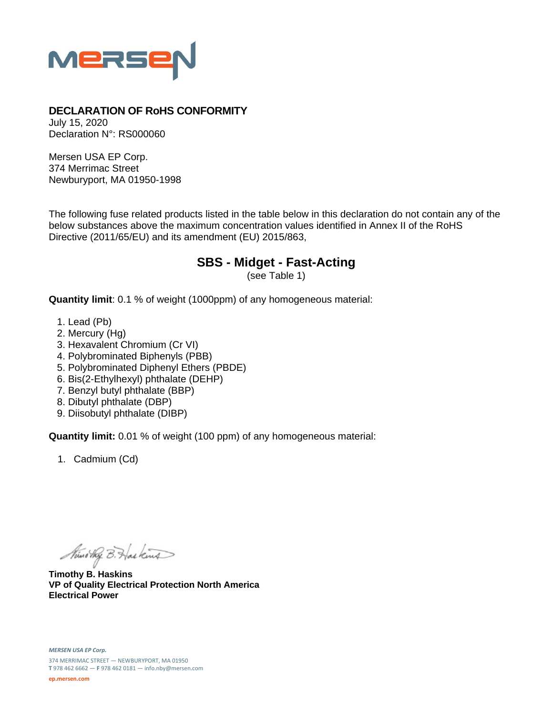

## **DECLARATION OF RoHS CONFORMITY**

July 15, 2020 Declaration N°: RS000060

Mersen USA EP Corp. 374 Merrimac Street Newburyport, MA 01950-1998

The following fuse related products listed in the table below in this declaration do not contain any of the below substances above the maximum concentration values identified in Annex II of the RoHS Directive (2011/65/EU) and its amendment (EU) 2015/863,

## **SBS - Midget - Fast-Acting**

(see Table 1)

**Quantity limit**: 0.1 % of weight (1000ppm) of any homogeneous material:

- 1. Lead (Pb)
- 2. Mercury (Hg)
- 3. Hexavalent Chromium (Cr VI)
- 4. Polybrominated Biphenyls (PBB)
- 5. Polybrominated Diphenyl Ethers (PBDE)
- 6. Bis(2-Ethylhexyl) phthalate (DEHP)
- 7. Benzyl butyl phthalate (BBP)
- 8. Dibutyl phthalate (DBP)
- 9. Diisobutyl phthalate (DIBP)

**Quantity limit:** 0.01 % of weight (100 ppm) of any homogeneous material:

1. Cadmium (Cd)

Ministry B. Haskins

**Timothy B. Haskins VP of Quality Electrical Protection North America Electrical Power**